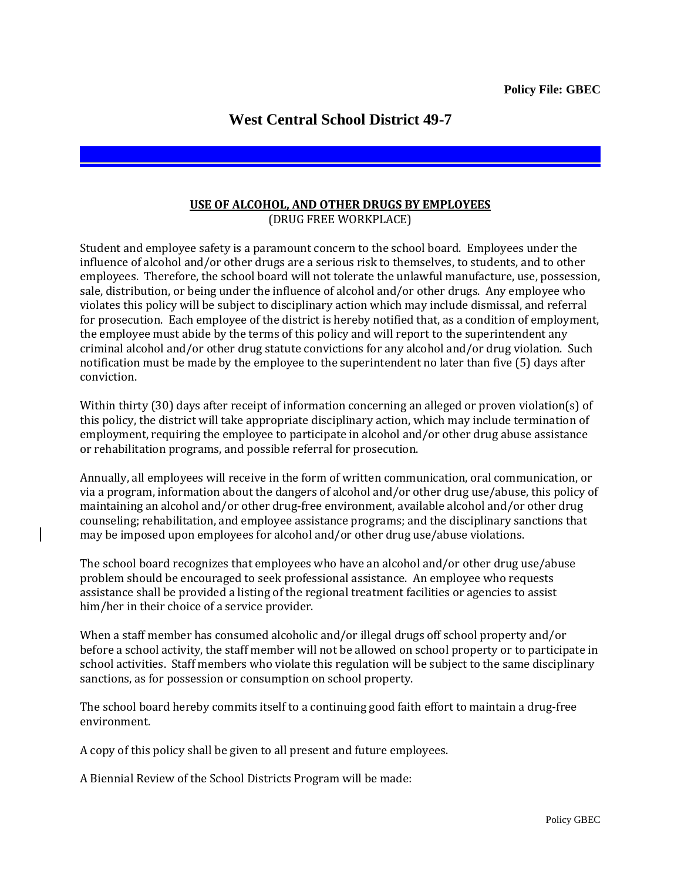## **West Central School District 49-7**

## **USE OF ALCOHOL, AND OTHER DRUGS BY EMPLOYEES** (DRUG FREE WORKPLACE)

Student and employee safety is a paramount concern to the school board. Employees under the influence of alcohol and/or other drugs are a serious risk to themselves, to students, and to other employees. Therefore, the school board will not tolerate the unlawful manufacture, use, possession, sale, distribution, or being under the influence of alcohol and/or other drugs. Any employee who violates this policy will be subject to disciplinary action which may include dismissal, and referral for prosecution. Each employee of the district is hereby notified that, as a condition of employment, the employee must abide by the terms of this policy and will report to the superintendent any criminal alcohol and/or other drug statute convictions for any alcohol and/or drug violation. Such notification must be made by the employee to the superintendent no later than five (5) days after conviction.

Within thirty (30) days after receipt of information concerning an alleged or proven violation(s) of this policy, the district will take appropriate disciplinary action, which may include termination of employment, requiring the employee to participate in alcohol and/or other drug abuse assistance or rehabilitation programs, and possible referral for prosecution.

Annually, all employees will receive in the form of written communication, oral communication, or via a program, information about the dangers of alcohol and/or other drug use/abuse, this policy of maintaining an alcohol and/or other drug-free environment, available alcohol and/or other drug counseling; rehabilitation, and employee assistance programs; and the disciplinary sanctions that may be imposed upon employees for alcohol and/or other drug use/abuse violations.

The school board recognizes that employees who have an alcohol and/or other drug use/abuse problem should be encouraged to seek professional assistance. An employee who requests assistance shall be provided a listing of the regional treatment facilities or agencies to assist him/her in their choice of a service provider.

When a staff member has consumed alcoholic and/or illegal drugs off school property and/or before a school activity, the staff member will not be allowed on school property or to participate in school activities. Staff members who violate this regulation will be subject to the same disciplinary sanctions, as for possession or consumption on school property.

The school board hereby commits itself to a continuing good faith effort to maintain a drug-free environment.

A copy of this policy shall be given to all present and future employees.

A Biennial Review of the School Districts Program will be made: